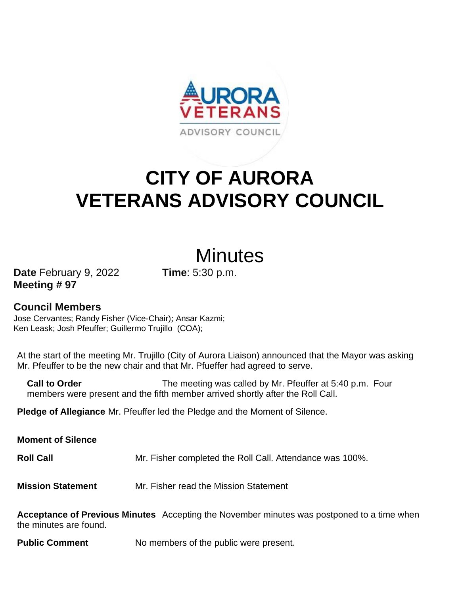

# **CITY OF AURORA VETERANS ADVISORY COUNCIL**

## **Minutes**

**Date** February 9, 2022 **Time**: 5:30 p.m. **Meeting # 97**

### **Council Members**

Jose Cervantes; Randy Fisher (Vice-Chair); Ansar Kazmi; Ken Leask; Josh Pfeuffer; Guillermo Trujillo (COA);

At the start of the meeting Mr. Trujillo (City of Aurora Liaison) announced that the Mayor was asking Mr. Pfeuffer to be the new chair and that Mr. Pfueffer had agreed to serve.

**Call to Order** The meeting was called by Mr. Pfeuffer at 5:40 p.m. Four members were present and the fifth member arrived shortly after the Roll Call.

**Pledge of Allegiance** Mr. Pfeuffer led the Pledge and the Moment of Silence.

**Moment of Silence Roll Call** Mr. Fisher completed the Roll Call. Attendance was 100%. **Mission Statement** Mr. Fisher read the Mission Statement

**Acceptance of Previous Minutes** Accepting the November minutes was postponed to a time when the minutes are found.

**Public Comment** No members of the public were present.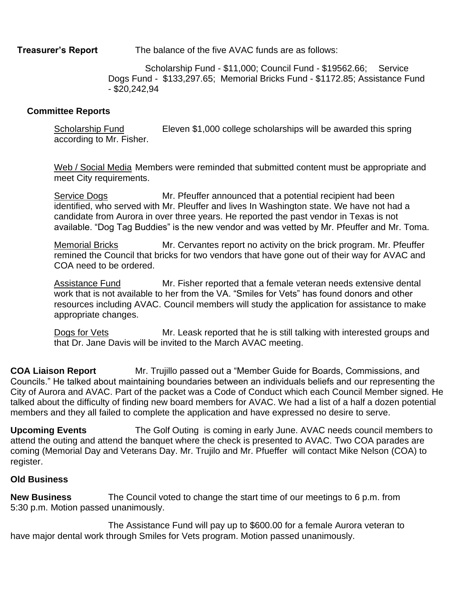**Treasurer's Report** The balance of the five AVAC funds are as follows:

Scholarship Fund - \$11,000; Council Fund - \$19562.66; Service Dogs Fund - \$133,297.65; Memorial Bricks Fund - \$1172.85; Assistance Fund - \$20,242,94

#### **Committee Reports**

Scholarship Fund Eleven \$1,000 college scholarships will be awarded this spring according to Mr. Fisher.

Web / Social Media Members were reminded that submitted content must be appropriate and meet City requirements.

Service Dogs Mr. Pfeuffer announced that a potential recipient had been identified, who served with Mr. Pleuffer and lives In Washington state. We have not had a candidate from Aurora in over three years. He reported the past vendor in Texas is not available. "Dog Tag Buddies" is the new vendor and was vetted by Mr. Pfeuffer and Mr. Toma.

Memorial Bricks Mr. Cervantes report no activity on the brick program. Mr. Pfeuffer remined the Council that bricks for two vendors that have gone out of their way for AVAC and COA need to be ordered.

Assistance Fund Mr. Fisher reported that a female veteran needs extensive dental work that is not available to her from the VA. "Smiles for Vets" has found donors and other resources including AVAC. Council members will study the application for assistance to make appropriate changes.

Dogs for Vets Mr. Leask reported that he is still talking with interested groups and that Dr. Jane Davis will be invited to the March AVAC meeting.

**COA Liaison Report** Mr. Trujillo passed out a "Member Guide for Boards, Commissions, and Councils." He talked about maintaining boundaries between an individuals beliefs and our representing the City of Aurora and AVAC. Part of the packet was a Code of Conduct which each Council Member signed. He talked about the difficulty of finding new board members for AVAC. We had a list of a half a dozen potential members and they all failed to complete the application and have expressed no desire to serve.

**Upcoming Events** The Golf Outing is coming in early June. AVAC needs council members to attend the outing and attend the banquet where the check is presented to AVAC. Two COA parades are coming (Memorial Day and Veterans Day. Mr. Trujilo and Mr. Pfueffer will contact Mike Nelson (COA) to register.

#### **Old Business**

**New Business** The Council voted to change the start time of our meetings to 6 p.m. from 5:30 p.m. Motion passed unanimously.

The Assistance Fund will pay up to \$600.00 for a female Aurora veteran to have major dental work through Smiles for Vets program. Motion passed unanimously.